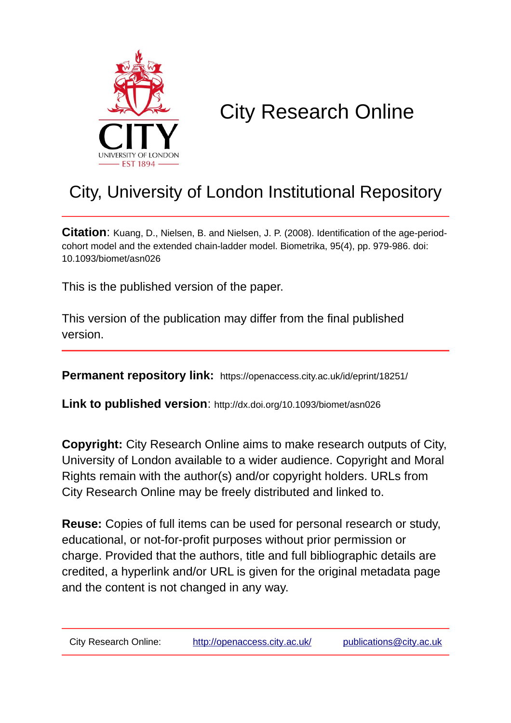

# City Research Online

# City, University of London Institutional Repository

**Citation**: Kuang, D., Nielsen, B. and Nielsen, J. P. (2008). Identification of the age-periodcohort model and the extended chain-ladder model. Biometrika, 95(4), pp. 979-986. doi: 10.1093/biomet/asn026

This is the published version of the paper.

This version of the publication may differ from the final published version.

**Permanent repository link:** https://openaccess.city.ac.uk/id/eprint/18251/

**Link to published version**: http://dx.doi.org/10.1093/biomet/asn026

**Copyright:** City Research Online aims to make research outputs of City, University of London available to a wider audience. Copyright and Moral Rights remain with the author(s) and/or copyright holders. URLs from City Research Online may be freely distributed and linked to.

**Reuse:** Copies of full items can be used for personal research or study, educational, or not-for-profit purposes without prior permission or charge. Provided that the authors, title and full bibliographic details are credited, a hyperlink and/or URL is given for the original metadata page and the content is not changed in any way.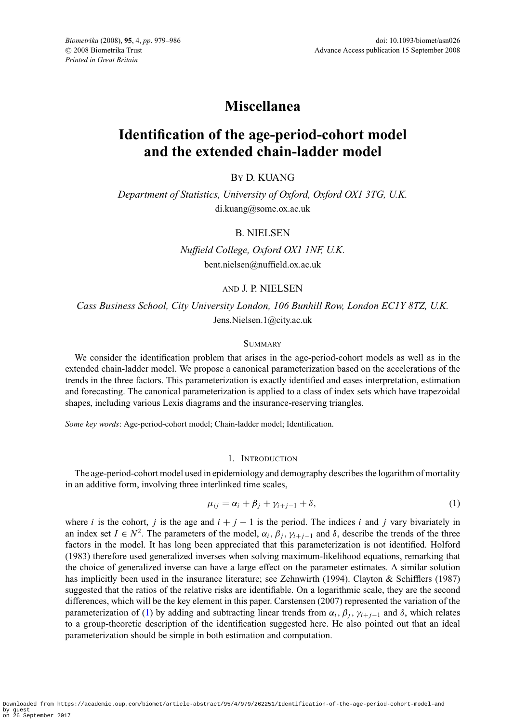# **Miscellanea**

# **Identification of the age-period-cohort model and the extended chain-ladder model**

# BY D. KUANG

*Department of Statistics, University of Oxford, Oxford OX1 3TG, U.K.* di.kuang@some.ox.ac.uk

## B. NIELSEN

*Nuffield College, Oxford OX1 1NF, U.K.* bent.nielsen@nuffield.ox.ac.uk

## AND J. P. NIELSEN

*Cass Business School, City University London, 106 Bunhill Row, London EC1Y 8TZ, U.K.* Jens.Nielsen.1@city.ac.uk

### **SUMMARY**

We consider the identification problem that arises in the age-period-cohort models as well as in the extended chain-ladder model. We propose a canonical parameterization based on the accelerations of the trends in the three factors. This parameterization is exactly identified and eases interpretation, estimation and forecasting. The canonical parameterization is applied to a class of index sets which have trapezoidal shapes, including various Lexis diagrams and the insurance-reserving triangles.

*Some key words*: Age-period-cohort model; Chain-ladder model; Identification.

### 1. INTRODUCTION

The age-period-cohort model used in epidemiology and demography describes the logarithm of mortality in an additive form, involving three interlinked time scales,

<span id="page-1-0"></span>
$$
\mu_{ij} = \alpha_i + \beta_j + \gamma_{i+j-1} + \delta,\tag{1}
$$

where *i* is the cohort, *j* is the age and  $i + j - 1$  is the period. The indices *i* and *j* vary bivariately in an index set  $I \in N^2$ . The parameters of the model,  $\alpha_i, \beta_j, \gamma_{i+j-1}$  and  $\delta$ , describe the trends of the three factors in the model. It has long been appreciated that this parameterization is not identified. Holford (1983) therefore used generalized inverses when solving maximum-likelihood equations, remarking that the choice of generalized inverse can have a large effect on the parameter estimates. A similar solution has implicitly been used in the insurance literature; see Zehnwirth (1994). Clayton & Schifflers (1987) suggested that the ratios of the relative risks are identifiable. On a logarithmic scale, they are the second differences, which will be the key element in this paper. Carstensen (2007) represented the variation of the parameterization of [\(1\)](#page-1-0) by adding and subtracting linear trends from  $\alpha_i$ ,  $\beta_j$ ,  $\gamma_{i+j-1}$  and  $\delta$ , which relates to a group-theoretic description of the identification suggested here. He also pointed out that an ideal parameterization should be simple in both estimation and computation.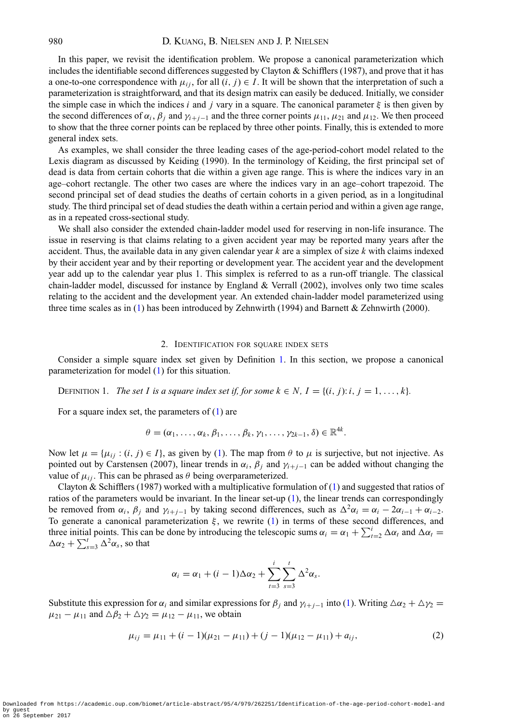In this paper, we revisit the identification problem. We propose a canonical parameterization which includes the identifiable second differences suggested by Clayton & Schifflers (1987), and prove that it has a one-to-one correspondence with  $\mu_{ij}$ , for all  $(i, j) \in I$ . It will be shown that the interpretation of such a parameterization is straightforward, and that its design matrix can easily be deduced. Initially, we consider the simple case in which the indices *i* and *j* vary in a square. The canonical parameter  $\xi$  is then given by the second differences of  $\alpha_i$ ,  $\beta_j$  and  $\gamma_{i+j-1}$  and the three corner points  $\mu_{11}$ ,  $\mu_{21}$  and  $\mu_{12}$ . We then proceed to show that the three corner points can be replaced by three other points. Finally, this is extended to more general index sets.

As examples, we shall consider the three leading cases of the age-period-cohort model related to the Lexis diagram as discussed by Keiding (1990). In the terminology of Keiding, the first principal set of dead is data from certain cohorts that die within a given age range. This is where the indices vary in an age–cohort rectangle. The other two cases are where the indices vary in an age–cohort trapezoid. The second principal set of dead studies the deaths of certain cohorts in a given period, as in a longitudinal study. The third principal set of dead studies the death within a certain period and within a given age range, as in a repeated cross-sectional study.

We shall also consider the extended chain-ladder model used for reserving in non-life insurance. The issue in reserving is that claims relating to a given accident year may be reported many years after the accident. Thus, the available data in any given calendar year *k* are a simplex of size *k* with claims indexed by their accident year and by their reporting or development year. The accident year and the development year add up to the calendar year plus 1. This simplex is referred to as a run-off triangle. The classical chain-ladder model, discussed for instance by England & Verrall (2002), involves only two time scales relating to the accident and the development year. An extended chain-ladder model parameterized using three time scales as in [\(1\)](#page-1-0) has been introduced by Zehnwirth (1994) and Barnett & Zehnwirth (2000).

#### 2. IDENTIFICATION FOR SQUARE INDEX SETS

<span id="page-2-2"></span><span id="page-2-0"></span>Consider a simple square index set given by Definition [1.](#page-2-0) In this section, we propose a canonical parameterization for model [\(1\)](#page-1-0) for this situation.

DEFINITION 1. *The set I is a square index set if, for some*  $k \in N$ *,*  $I = \{(i, j): i, j = 1, \ldots, k\}$ *.* 

For a square index set, the parameters of  $(1)$  are

$$
\theta=(\alpha_1,\ldots,\alpha_k,\beta_1,\ldots,\beta_k,\gamma_1,\ldots,\gamma_{2k-1},\delta)\in\mathbb{R}^{4k}.
$$

Now let  $\mu = {\mu_{ij} : (i, j) \in I}$ , as given by [\(1\)](#page-1-0). The map from  $\theta$  to  $\mu$  is surjective, but not injective. As pointed out by Carstensen (2007), linear trends in  $\alpha_i$ ,  $\beta_j$  and  $\gamma_{i+j-1}$  can be added without changing the value of  $\mu_{ij}$ . This can be phrased as  $\theta$  being overparameterized.

Clayton & Schifflers (1987) worked with a multiplicative formulation of [\(1\)](#page-1-0) and suggested that ratios of ratios of the parameters would be invariant. In the linear set-up  $(1)$ , the linear trends can correspondingly be removed from  $\alpha_i$ ,  $\beta_j$  and  $\gamma_{i+j-1}$  by taking second differences, such as  $\Delta^2 \alpha_i = \alpha_i - 2\alpha_{i-1} + \alpha_{i-2}$ . To generate a canonical parameterization  $\xi$ , we rewrite [\(1\)](#page-1-0) in terms of these second differences, and three initial points. This can be done by introducing the telescopic sums  $\alpha_i = \alpha_1 + \sum_{t=2}^{i} \Delta \alpha_t$  and  $\Delta \alpha_t =$  $\Delta \alpha_2 + \sum_{s=3}^t \Delta^2 \alpha_s$ , so that

$$
\alpha_i = \alpha_1 + (i-1)\Delta\alpha_2 + \sum_{t=3}^i \sum_{s=3}^t \Delta^2\alpha_s.
$$

<span id="page-2-1"></span>Substitute this expression for  $\alpha_i$  and similar expressions for  $\beta_j$  and  $\gamma_{i+j-1}$  into [\(1\)](#page-1-0). Writing  $\Delta \alpha_2 + \Delta \gamma_2 =$  $\mu_{21} - \mu_{11}$  and  $\Delta \beta_2 + \Delta \gamma_2 = \mu_{12} - \mu_{11}$ , we obtain

$$
\mu_{ij} = \mu_{11} + (i - 1)(\mu_{21} - \mu_{11}) + (j - 1)(\mu_{12} - \mu_{11}) + a_{ij},
$$
\n(2)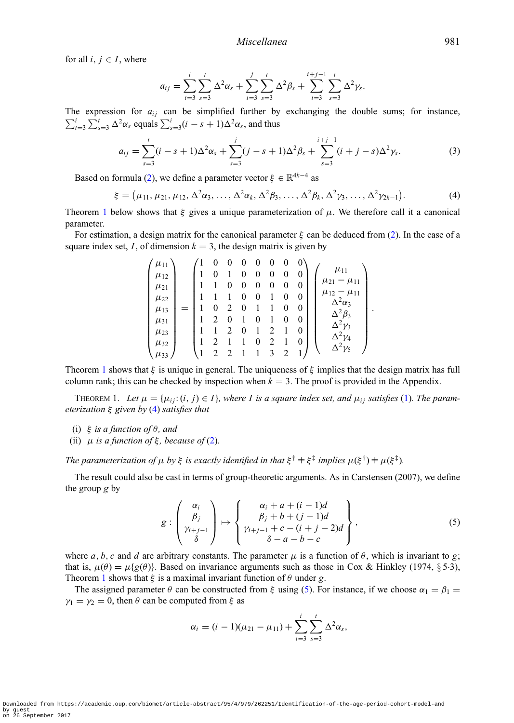for all  $i, j \in I$ , where

$$
a_{ij} = \sum_{t=3}^{i} \sum_{s=3}^{t} \Delta^2 \alpha_s + \sum_{t=3}^{j} \sum_{s=3}^{t} \Delta^2 \beta_s + \sum_{t=3}^{i+j-1} \sum_{s=3}^{t} \Delta^2 \gamma_s.
$$

The expression for  $a_{ij}$  can be simplified further by exchanging the double sums; for instance,  $\sum_{t=3}^{i} \sum_{s=3}^{t} \Delta^2 \alpha_s$  equals  $\sum_{s=3}^{i} (i - s + 1) \Delta^2 \alpha_s$ , and thus

$$
a_{ij} = \sum_{s=3}^{i} (i - s + 1) \Delta^2 \alpha_s + \sum_{s=3}^{j} (j - s + 1) \Delta^2 \beta_s + \sum_{s=3}^{i+j-1} (i + j - s) \Delta^2 \gamma_s.
$$
 (3)

<span id="page-3-3"></span>Based on formula [\(2\)](#page-2-1), we define a parameter vector  $\xi \in \mathbb{R}^{4k-4}$  as

$$
\xi = (\mu_{11}, \mu_{21}, \mu_{12}, \Delta^2 \alpha_3, \dots, \Delta^2 \alpha_k, \Delta^2 \beta_3, \dots, \Delta^2 \beta_k, \Delta^2 \gamma_3, \dots, \Delta^2 \gamma_{2k-1}).
$$
\n(4)

<span id="page-3-1"></span>Theorem [1](#page-3-0) below shows that  $\xi$  gives a unique parameterization of  $\mu$ . We therefore call it a canonical parameter.

For estimation, a design matrix for the canonical parameter  $\xi$  can be deduced from [\(2\)](#page-2-1). In the case of a square index set, *I*, of dimension  $k = 3$ , the design matrix is given by

$$
\begin{pmatrix}\n\mu_{11} \\
\mu_{12} \\
\mu_{21} \\
\mu_{22} \\
\mu_{31} \\
\mu_{31} \\
\mu_{32} \\
\mu_{33}\n\end{pmatrix} = \begin{pmatrix}\n1 & 0 & 0 & 0 & 0 & 0 & 0 & 0 \\
1 & 0 & 1 & 0 & 0 & 0 & 0 & 0 \\
1 & 1 & 1 & 0 & 0 & 0 & 0 & 0 \\
1 & 1 & 1 & 0 & 0 & 1 & 0 & 0 \\
1 & 0 & 2 & 0 & 1 & 1 & 0 & 0 \\
1 & 2 & 0 & 1 & 0 & 1 & 0 & 0 \\
1 & 1 & 2 & 0 & 1 & 2 & 1 & 0 \\
1 & 2 & 1 & 1 & 0 & 2 & 1 & 0 \\
1 & 2 & 2 & 1 & 1 & 3 & 2 & 1\n\end{pmatrix} \begin{pmatrix}\n\mu_{11} \\
\mu_{21} - \mu_{11} \\
\mu_{12} - \mu_{11} \\
\Delta^2 \mu_3 \\
\Delta^2 \nu_4 \\
\Delta^2 \nu_5\n\end{pmatrix}
$$

<span id="page-3-0"></span>Theorem [1](#page-3-0) shows that  $\xi$  is unique in general. The uniqueness of  $\xi$  implies that the design matrix has full column rank; this can be checked by inspection when  $k = 3$ . The proof is provided in the Appendix.

THEOREM 1. Let  $\mu = {\mu_{ij}: (i, j) \in I}$ , where I is a square index set, and  $\mu_{ij}$  satisfies [\(1\)](#page-1-0). The param*eterization* ξ *given by* [\(4\)](#page-3-1) *satisfies that*

- (i) ξ *is a function of* θ*, and*
- (ii)  $\mu$  *is a function of*  $\xi$ *, because of* [\(2\)](#page-2-1)*.*

*The parameterization of*  $\mu$  *by*  $\xi$  *is exactly identified in that*  $\xi^{\dagger} \neq \xi^{\ddagger}$  *implies*  $\mu(\xi^{\dagger}) \neq \mu(\xi^{\ddagger})$ *.* 

The result could also be cast in terms of group-theoretic arguments. As in Carstensen (2007), we define the group *g* by

$$
g: \begin{pmatrix} \alpha_i \\ \beta_j \\ \gamma_{i+j-1} \\ \delta \end{pmatrix} \mapsto \begin{cases} \alpha_i + a + (i-1)d \\ \beta_j + b + (j-1)d \\ \gamma_{i+j-1} + c - (i+j-2)d \\ \delta - a - b - c \end{cases},
$$
 (5)

.

<span id="page-3-2"></span>where *a*, *b*, *c* and *d* are arbitrary constants. The parameter  $\mu$  is a function of  $\theta$ , which is invariant to *g*; that is,  $\mu(\theta) = \mu{g(\theta)}$ . Based on invariance arguments such as those in Cox & Hinkley (1974, § 5.3), Theorem [1](#page-3-0) shows that  $\xi$  is a maximal invariant function of  $\theta$  under *g*.

The assigned parameter  $\theta$  can be constructed from  $\xi$  using [\(5\)](#page-3-2). For instance, if we choose  $\alpha_1 = \beta_1 = \alpha_1$  $\gamma_1 = \gamma_2 = 0$ , then  $\theta$  can be computed from  $\xi$  as

$$
\alpha_i = (i-1)(\mu_{21} - \mu_{11}) + \sum_{t=3}^i \sum_{s=3}^t \Delta^2 \alpha_s,
$$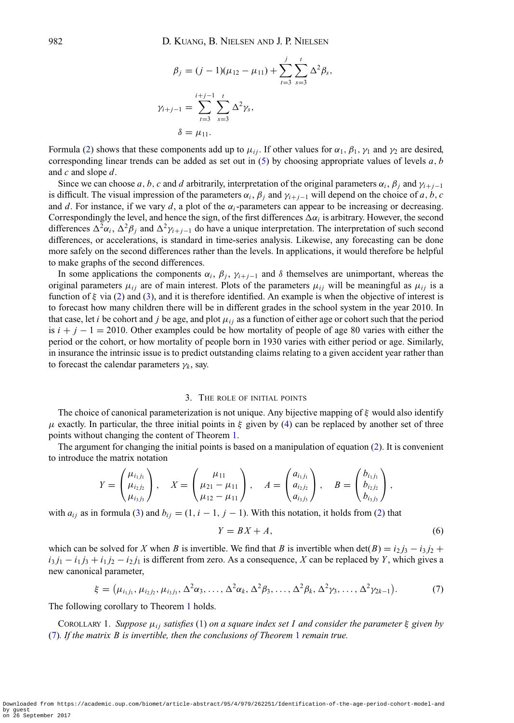$$
\beta_j = (j - 1)(\mu_{12} - \mu_{11}) + \sum_{t=3}^j \sum_{s=3}^t \Delta^2 \beta_s,
$$
  

$$
\gamma_{i+j-1} = \sum_{t=3}^{i+j-1} \sum_{s=3}^t \Delta^2 \gamma_s,
$$
  

$$
\delta = \mu_{11}.
$$

Formula [\(2\)](#page-2-1) shows that these components add up to  $\mu_{ij}$ . If other values for  $\alpha_1$ ,  $\beta_1$ ,  $\gamma_1$  and  $\gamma_2$  are desired, corresponding linear trends can be added as set out in [\(5\)](#page-3-2) by choosing appropriate values of levels *a*, *b* and *c* and slope *d*.

Since we can choose *a*, *b*, *c* and *d* arbitrarily, interpretation of the original parameters  $\alpha_i$ ,  $\beta_j$  and  $\gamma_{i+j-1}$ is difficult. The visual impression of the parameters  $\alpha_i$ ,  $\beta_j$  and  $\gamma_{i+j-1}$  will depend on the choice of *a*, *b*, *c* and *d*. For instance, if we vary *d*, a plot of the  $\alpha_i$ -parameters can appear to be increasing or decreasing. Correspondingly the level, and hence the sign, of the first differences  $\Delta \alpha_i$  is arbitrary. However, the second differences  $\Delta^2 \alpha_i$ ,  $\Delta^2 \beta_j$  and  $\Delta^2 \gamma_{i+j-1}$  do have a unique interpretation. The interpretation of such second differences, or accelerations, is standard in time-series analysis. Likewise, any forecasting can be done more safely on the second differences rather than the levels. In applications, it would therefore be helpful to make graphs of the second differences.

In some applications the components  $\alpha_i$ ,  $\beta_j$ ,  $\gamma_{i+j-1}$  and  $\delta$  themselves are unimportant, whereas the original parameters  $\mu_{ij}$  are of main interest. Plots of the parameters  $\mu_{ij}$  will be meaningful as  $\mu_{ij}$  is a function of ξ via [\(2\)](#page-2-1) and [\(3\)](#page-3-3), and it is therefore identified. An example is when the objective of interest is to forecast how many children there will be in different grades in the school system in the year 2010. In that case, let *i* be cohort and *j* be age, and plot  $\mu_{ij}$  as a function of either age or cohort such that the period is  $i + j - 1 = 2010$ . Other examples could be how mortality of people of age 80 varies with either the period or the cohort, or how mortality of people born in 1930 varies with either period or age. Similarly, in insurance the intrinsic issue is to predict outstanding claims relating to a given accident year rather than to forecast the calendar parameters  $\gamma_k$ , say.

#### 3. THE ROLE OF INITIAL POINTS

<span id="page-4-2"></span>The choice of canonical parameterization is not unique. Any bijective mapping of  $\xi$  would also identify  $\mu$  exactly. In particular, the three initial points in  $\xi$  given by [\(4\)](#page-3-1) can be replaced by another set of three points without changing the content of Theorem [1.](#page-3-0)

The argument for changing the initial points is based on a manipulation of equation [\(2\)](#page-2-1). It is convenient to introduce the matrix notation

$$
Y = \begin{pmatrix} \mu_{i_1j_1} \\ \mu_{i_2j_2} \\ \mu_{i_3j_3} \end{pmatrix}, \quad X = \begin{pmatrix} \mu_{11} \\ \mu_{21} - \mu_{11} \\ \mu_{12} - \mu_{11} \end{pmatrix}, \quad A = \begin{pmatrix} a_{i_1j_1} \\ a_{i_2j_2} \\ a_{i_3j_3} \end{pmatrix}, \quad B = \begin{pmatrix} b_{i_1j_1} \\ b_{i_2j_2} \\ b_{i_3j_3} \end{pmatrix},
$$

with  $a_{ij}$  as in formula [\(3\)](#page-3-3) and  $b_{ij} = (1, i - 1, j - 1)$ . With this notation, it holds from [\(2\)](#page-2-1) that

<span id="page-4-1"></span>
$$
Y = BX + A,\tag{6}
$$

which can be solved for *X* when *B* is invertible. We find that *B* is invertible when  $det(B) = i_2 j_3 - i_3 j_2 + j_3 j_3$  $i_3 j_1 - i_1 j_3 + i_1 j_2 - i_2 j_1$  is different from zero. As a consequence, *X* can be replaced by *Y*, which gives a new canonical parameter,

$$
\xi = (\mu_{i_1j_1}, \mu_{i_2j_2}, \mu_{i_3j_3}, \Delta^2 \alpha_3, \dots, \Delta^2 \alpha_k, \Delta^2 \beta_3, \dots, \Delta^2 \beta_k, \Delta^2 \gamma_3, \dots, \Delta^2 \gamma_{2k-1}).
$$
 (7)

<span id="page-4-0"></span>The following corollary to Theorem [1](#page-3-0) holds.

COROLLARY 1. *Suppose*  $\mu_{ij}$  *satisfies* [\(1\)](#page-1-0) *on a square index set I and consider the parameter*  $\xi$  *given by* [\(7\)](#page-4-0)*. If the matrix B is invertible, then the conclusions of Theorem* [1](#page-3-0) *remain true.*

by guest on 26 September 2017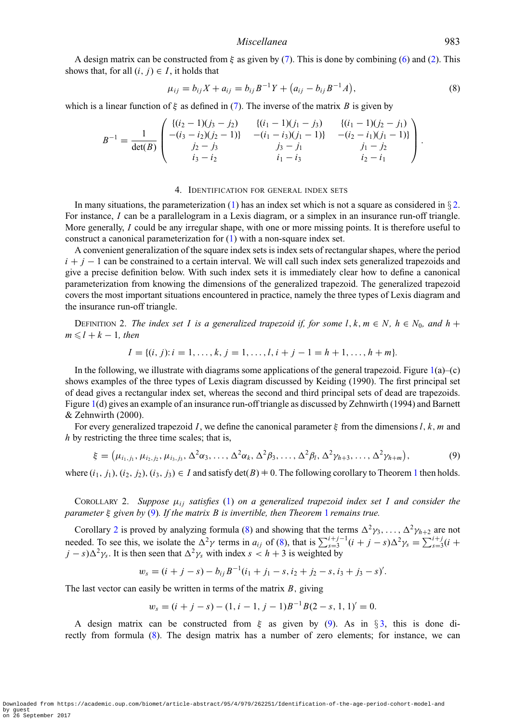#### *Miscellanea* 983

A design matrix can be constructed from  $\xi$  as given by [\(7\)](#page-4-0). This is done by combining [\(6\)](#page-4-1) and [\(2\)](#page-2-1). This shows that, for all  $(i, j) \in I$ , it holds that

$$
\mu_{ij} = b_{ij}X + a_{ij} = b_{ij}B^{-1}Y + (a_{ij} - b_{ij}B^{-1}A),
$$
\n(8)

which is a linear function of  $\xi$  as defined in [\(7\)](#page-4-0). The inverse of the matrix *B* is given by

<span id="page-5-2"></span>
$$
B^{-1} = \frac{1}{\det(B)} \begin{pmatrix} \{(i_2 - 1)(j_3 - j_2) & \{(i_1 - 1)(j_1 - j_3) & \{(i_1 - 1)(j_2 - j_1) \} \\ -(i_3 - i_2)(j_2 - 1) \} & -(i_1 - i_3)(j_1 - 1) \} & -(i_2 - i_1)(j_1 - 1) \} \\ j_2 - j_3 & j_3 - j_1 & j_1 - j_2 \\ i_3 - i_2 & i_1 - i_3 & i_2 - i_1 \end{pmatrix}.
$$

#### 4. IDENTIFICATION FOR GENERAL INDEX SETS

In many situations, the parameterization [\(1\)](#page-1-0) has an index set which is not a square as considered in  $\S 2$ . For instance, *I* can be a parallelogram in a Lexis diagram, or a simplex in an insurance run-off triangle. More generally, *I* could be any irregular shape, with one or more missing points. It is therefore useful to construct a canonical parameterization for [\(1\)](#page-1-0) with a non-square index set.

A convenient generalization of the square index sets is index sets of rectangular shapes, where the period  $i + j - 1$  can be constrained to a certain interval. We will call such index sets generalized trapezoids and give a precise definition below. With such index sets it is immediately clear how to define a canonical parameterization from knowing the dimensions of the generalized trapezoid. The generalized trapezoid covers the most important situations encountered in practice, namely the three types of Lexis diagram and the insurance run-off triangle.

DEFINITION 2. *The index set I is a generalized trapezoid if, for some l,*  $k, m \in N$ *,*  $h \in N_0$ *, and*  $h +$  $m \leq l + k - 1$ *, then* 

$$
I = \{(i, j): i = 1, \dots, k, j = 1, \dots, l, i + j - 1 = h + 1, \dots, h + m\}.
$$

In the following, we illustrate with diagrams some applications of the general trapezoid. Figure  $1(a)$  $1(a)$ –(c) shows examples of the three types of Lexis diagram discussed by Keiding (1990). The first principal set of dead gives a rectangular index set, whereas the second and third principal sets of dead are trapezoids. Figure [1\(](#page-6-0)d) gives an example of an insurance run-off triangle as discussed by Zehnwirth (1994) and Barnett & Zehnwirth (2000).

For every generalized trapezoid *I*, we define the canonical parameter ξ from the dimensions *l*, *k*, *m* and *h* by restricting the three time scales; that is,

$$
\xi = (\mu_{i_1,j_1}, \mu_{i_2,j_2}, \mu_{i_3,j_3}, \Delta^2 \alpha_3, \ldots, \Delta^2 \alpha_k, \Delta^2 \beta_3, \ldots, \Delta^2 \beta_l, \Delta^2 \gamma_{h+3}, \ldots, \Delta^2 \gamma_{h+m}),
$$
\n(9)

<span id="page-5-1"></span><span id="page-5-0"></span>where  $(i_1, j_1), (i_2, j_2), (i_3, j_3) \in I$  $(i_1, j_1), (i_2, j_2), (i_3, j_3) \in I$  $(i_1, j_1), (i_2, j_2), (i_3, j_3) \in I$  and satisfy  $\det(B) \neq 0$ . The following corollary to Theorem 1 then holds.

COROLLARY 2. Suppose  $\mu_{ij}$  satisfies [\(1\)](#page-1-0) on a generalized trapezoid index set I and consider the *parameter* ξ *given by* [\(9\)](#page-5-0)*. If the matrix B is invertible, then Theorem* [1](#page-3-0) *remains true.*

Corollary [2](#page-5-1) is proved by analyzing formula [\(8\)](#page-5-2) and showing that the terms  $\Delta^2 \gamma_3, \ldots, \Delta^2 \gamma_{h+2}$  are not needed. To see this, we isolate the  $\Delta^2 \gamma$  terms in  $a_{ij}$  of [\(8\)](#page-5-2), that is  $\sum_{s=3}^{i+j-1} (i+j-s) \Delta^2 \gamma_s = \sum_{s=3}^{i+j} (i+j-s) \Delta^2 \gamma_s$  $j - s$ ) $\Delta^2 \gamma_s$ . It is then seen that  $\Delta^2 \gamma_s$  with index  $s < h + 3$  is weighted by

$$
w_s = (i + j - s) - b_{ij}B^{-1}(i_1 + j_1 - s, i_2 + j_2 - s, i_3 + j_3 - s)'.
$$

The last vector can easily be written in terms of the matrix *B*, giving

$$
w_s = (i + j - s) - (1, i - 1, j - 1)B^{-1}B(2 - s, 1, 1)' = 0.
$$

A design matrix can be constructed from  $\xi$  as given by [\(9\)](#page-5-0). As in §[3,](#page-4-2) this is done directly from formula [\(8\)](#page-5-2). The design matrix has a number of zero elements; for instance, we can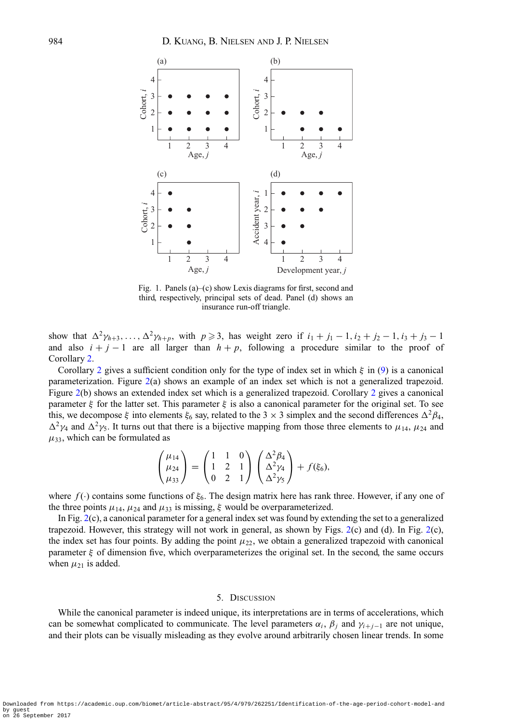

<span id="page-6-0"></span>Fig. 1. Panels (a)–(c) show Lexis diagrams for first, second and third, respectively, principal sets of dead. Panel (d) shows an insurance run-off triangle.

show that  $\Delta^2 \gamma_{h+3}, \ldots, \Delta^2 \gamma_{h+p}$ , with  $p \geq 3$ , has weight zero if  $i_1 + j_1 - 1, i_2 + j_2 - 1, i_3 + j_3 - 1$ and also  $i + j - 1$  are all larger than  $h + p$ , following a procedure similar to the proof of Corollary [2.](#page-5-1)

Corollary [2](#page-5-1) gives a sufficient condition only for the type of index set in which  $\xi$  in [\(9\)](#page-5-0) is a canonical parameterization. Figure [2\(](#page-7-0)a) shows an example of an index set which is not a generalized trapezoid. Figure [2\(](#page-7-0)b) shows an extended index set which is a generalized trapezoid. Corollary [2](#page-5-1) gives a canonical parameter  $\xi$  for the latter set. This parameter  $\xi$  is also a canonical parameter for the original set. To see this, we decompose  $\xi$  into elements  $\xi_6$  say, related to the 3 × 3 simplex and the second differences  $\Delta^2 \beta_4$ ,  $\Delta^2 \gamma_4$  and  $\Delta^2 \gamma_5$ . It turns out that there is a bijective mapping from those three elements to  $\mu_{14}$ ,  $\mu_{24}$  and  $\mu_{33}$ , which can be formulated as

$$
\begin{pmatrix} \mu_{14} \\ \mu_{24} \\ \mu_{33} \end{pmatrix} = \begin{pmatrix} 1 & 1 & 0 \\ 1 & 2 & 1 \\ 0 & 2 & 1 \end{pmatrix} \begin{pmatrix} \Delta^2 \beta_4 \\ \Delta^2 \gamma_4 \\ \Delta^2 \gamma_5 \end{pmatrix} + f(\xi_6),
$$

where  $f(\cdot)$  contains some functions of  $\xi_6$ . The design matrix here has rank three. However, if any one of the three points  $\mu_{14}$ ,  $\mu_{24}$  and  $\mu_{33}$  is missing,  $\xi$  would be overparameterized.

In Fig. [2\(](#page-7-0)c), a canonical parameter for a general index set was found by extending the set to a generalized trapezoid. However, this strategy will not work in general, as shown by Figs.  $2(c)$  $2(c)$  and (d). In Fig.  $2(c)$ , the index set has four points. By adding the point  $\mu_{22}$ , we obtain a generalized trapezoid with canonical parameter  $\xi$  of dimension five, which overparameterizes the original set. In the second, the same occurs when  $\mu_{21}$  is added.

#### 5. DISCUSSION

While the canonical parameter is indeed unique, its interpretations are in terms of accelerations, which can be somewhat complicated to communicate. The level parameters  $\alpha_i$ ,  $\beta_j$  and  $\gamma_{i+j-1}$  are not unique, and their plots can be visually misleading as they evolve around arbitrarily chosen linear trends. In some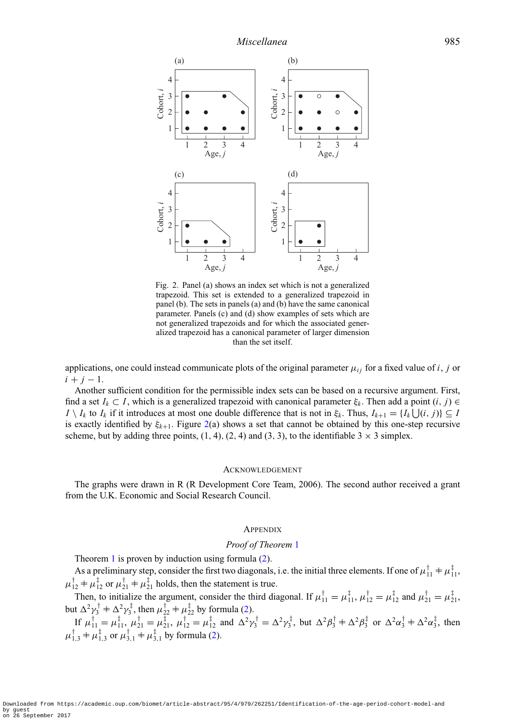

<span id="page-7-0"></span>Fig. 2. Panel (a) shows an index set which is not a generalized trapezoid. This set is extended to a generalized trapezoid in panel (b). The sets in panels (a) and (b) have the same canonical parameter. Panels (c) and (d) show examples of sets which are not generalized trapezoids and for which the associated generalized trapezoid has a canonical parameter of larger dimension than the set itself.

applications, one could instead communicate plots of the original parameter  $\mu_{ij}$  for a fixed value of *i*, *j* or  $i + j - 1$ .

Another sufficient condition for the permissible index sets can be based on a recursive argument. First, find a set  $I_k \subset I$ , which is a generalized trapezoid with canonical parameter  $\xi_k$ . Then add a point  $(i, j) \in$ *I* \ *I<sub>k</sub>* to *I<sub>k</sub>* if it introduces at most one double difference that is not in  $\xi_k$ . Thus,  $I_{k+1} = \{I_k \bigcup (i, j)\} \subseteq I$ is exactly identified by  $\xi_{k+1}$ . Figure [2\(](#page-7-0)a) shows a set that cannot be obtained by this one-step recursive scheme, but by adding three points,  $(1, 4)$ ,  $(2, 4)$  and  $(3, 3)$ , to the identifiable  $3 \times 3$  simplex.

#### ACKNOWLEDGEMENT

The graphs were drawn in R (R Development Core Team, 2006). The second author received a grant from the U.K. Economic and Social Research Council.

#### **APPENDIX**

#### *Proof of Theorem* [1](#page-3-0)

Theorem [1](#page-3-0) is proven by induction using formula [\(2\)](#page-2-1).

As a preliminary step, consider the first two diagonals, i.e. the initial three elements. If one of  $\mu_{11}^T \neq \mu_{11}^T$ ,  $\mu_{12}^{\mathsf{T}} + \mu_{12}^{\mathsf{T}}$  or  $\mu_{21}^{\mathsf{T}} + \mu_{21}^{\mathsf{T}}$  holds, then the statement is true.

Then, to initialize the argument, consider the third diagonal. If  $\mu_{11}^{\dagger} = \mu_{11}^{\dagger}, \mu_{12}^{\dagger} = \mu_{12}^{\dagger}$  and  $\mu_{21}^{\dagger} = \mu_{21}^{\dagger}$ , but  $\Delta^2 \gamma_3^{\dagger} + \Delta^2 \gamma_3^{\dagger}$ , then  $\mu_{22}^{\dagger} + \mu_{22}^{\dagger}$  by formula [\(2\)](#page-2-1). If  $\mu_{11}^{\dagger} = \mu_{11}^{\dagger}, \mu_{21}^{\dagger} = \mu_{21}^{\dagger}, \mu_{12}^{\dagger} = \mu_{12}^{\dagger}$  and  $\Delta^2 \gamma_3^{\dagger} = \Delta^2 \gamma_3^{\dagger}$ , but  $\Delta^2 \beta_3^{\dagger} + \Delta^2 \beta_3^{\dagger}$  or  $\Delta^2 \alpha_3^{\dagger} + \Delta^2 \alpha_3^{\dagger}$ , then  $\mu_{1,3}^{\dagger} + \mu_{1,3}^{\dagger}$  or  $\mu_{3,1}^{\dagger} + \mu_{3,1}^{\dagger}$  by formula [\(2\)](#page-2-1).